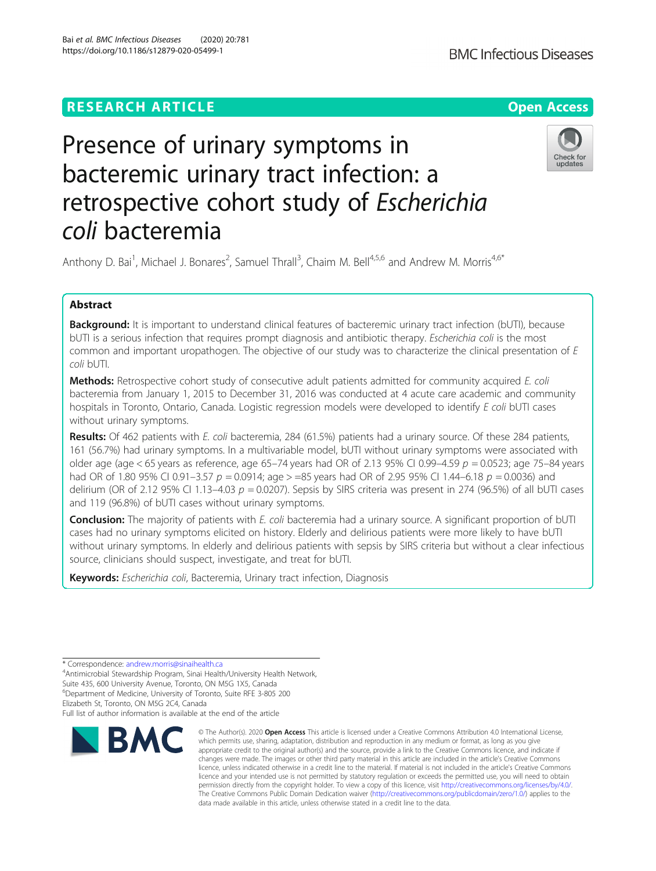#### Bai et al. BMC Infectious Diseases (2020) 20:781 https://doi.org/10.1186/s12879-020-05499-1

### **BMC Infectious Diseases**

## Presence of urinary symptoms in bacteremic urinary tract infection: a retrospective cohort study of Escherichia coli bacteremia

Anthony D. Bai<sup>1</sup>, Michael J. Bonares<sup>2</sup>, Samuel Thrall<sup>3</sup>, Chaim M. Bell<sup>4,5,6</sup> and Andrew M. Morris<sup>4,6\*</sup>

#### Abstract

Background: It is important to understand clinical features of bacteremic urinary tract infection (bUTI), because bUTI is a serious infection that requires prompt diagnosis and antibiotic therapy. Escherichia coli is the most common and important uropathogen. The objective of our study was to characterize the clinical presentation of E coli bUTI.

Methods: Retrospective cohort study of consecutive adult patients admitted for community acquired E. coli bacteremia from January 1, 2015 to December 31, 2016 was conducted at 4 acute care academic and community hospitals in Toronto, Ontario, Canada. Logistic regression models were developed to identify E coli bUTI cases without urinary symptoms.

Results: Of 462 patients with E. coli bacteremia, 284 (61.5%) patients had a urinary source. Of these 284 patients, 161 (56.7%) had urinary symptoms. In a multivariable model, bUTI without urinary symptoms were associated with older age (age < 65 years as reference, age 65–74 years had OR of 2.13 95% CI 0.99–4.59  $p = 0.0523$ ; age 75–84 years had OR of 1.80 95% CI 0.91-3.57  $p = 0.0914$ ; age  $> = 85$  years had OR of 2.95 95% CI 1.44-6.18  $p = 0.0036$ ) and delirium (OR of 2.12 95% CI 1.13–4.03  $p = 0.0207$ ). Sepsis by SIRS criteria was present in 274 (96.5%) of all bUTI cases and 119 (96.8%) of bUTI cases without urinary symptoms.

**Conclusion:** The majority of patients with E. coli bacteremia had a urinary source. A significant proportion of bUTI cases had no urinary symptoms elicited on history. Elderly and delirious patients were more likely to have bUTI without urinary symptoms. In elderly and delirious patients with sepsis by SIRS criteria but without a clear infectious source, clinicians should suspect, investigate, and treat for bUTI.

Keywords: Escherichia coli, Bacteremia, Urinary tract infection, Diagnosis

\* Correspondence: [andrew.morris@sinaihealth.ca](mailto:andrew.morris@sinaihealth.ca) <sup>4</sup>

Antimicrobial Stewardship Program, Sinai Health/University Health Network, Suite 435, 600 University Avenue, Toronto, ON M5G 1X5, Canada 6 Department of Medicine, University of Toronto, Suite RFE 3-805 200

Elizabeth St, Toronto, ON M5G 2C4, Canada

Full list of author information is available at the end of the article

# **BMC**

© The Author(s), 2020 **Open Access** This article is licensed under a Creative Commons Attribution 4.0 International License, which permits use, sharing, adaptation, distribution and reproduction in any medium or format, as long as you give appropriate credit to the original author(s) and the source, provide a link to the Creative Commons licence, and indicate if changes were made. The images or other third party material in this article are included in the article's Creative Commons licence, unless indicated otherwise in a credit line to the material. If material is not included in the article's Creative Commons licence and your intended use is not permitted by statutory regulation or exceeds the permitted use, you will need to obtain permission directly from the copyright holder. To view a copy of this licence, visit [http://creativecommons.org/licenses/by/4.0/.](http://creativecommons.org/licenses/by/4.0/) The Creative Commons Public Domain Dedication waiver [\(http://creativecommons.org/publicdomain/zero/1.0/](http://creativecommons.org/publicdomain/zero/1.0/)) applies to the data made available in this article, unless otherwise stated in a credit line to the data.

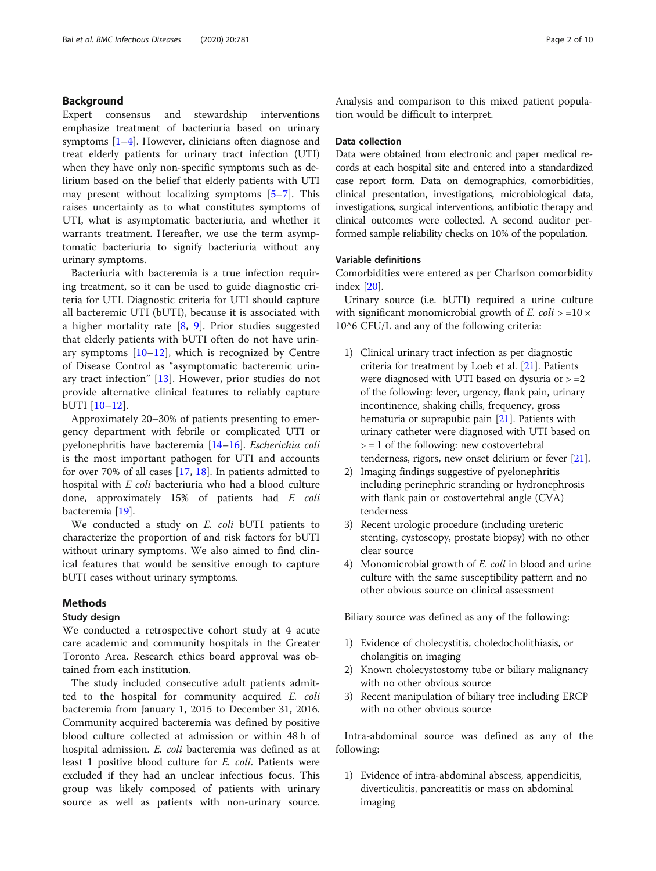#### Background

Expert consensus and stewardship interventions emphasize treatment of bacteriuria based on urinary symptoms  $[1-4]$  $[1-4]$  $[1-4]$  $[1-4]$ . However, clinicians often diagnose and treat elderly patients for urinary tract infection (UTI) when they have only non-specific symptoms such as delirium based on the belief that elderly patients with UTI may present without localizing symptoms [[5](#page-8-0)–[7\]](#page-8-0). This raises uncertainty as to what constitutes symptoms of UTI, what is asymptomatic bacteriuria, and whether it warrants treatment. Hereafter, we use the term asymptomatic bacteriuria to signify bacteriuria without any urinary symptoms.

Bacteriuria with bacteremia is a true infection requiring treatment, so it can be used to guide diagnostic criteria for UTI. Diagnostic criteria for UTI should capture all bacteremic UTI (bUTI), because it is associated with a higher mortality rate [[8,](#page-8-0) [9\]](#page-8-0). Prior studies suggested that elderly patients with bUTI often do not have urinary symptoms  $[10-12]$  $[10-12]$  $[10-12]$  $[10-12]$ , which is recognized by Centre of Disease Control as "asymptomatic bacteremic urinary tract infection" [\[13](#page-8-0)]. However, prior studies do not provide alternative clinical features to reliably capture bUTI [\[10](#page-8-0)–[12](#page-8-0)].

Approximately 20–30% of patients presenting to emergency department with febrile or complicated UTI or pyelonephritis have bacteremia [\[14](#page-8-0)–[16\]](#page-8-0). Escherichia coli is the most important pathogen for UTI and accounts for over 70% of all cases [[17](#page-8-0), [18](#page-8-0)]. In patients admitted to hospital with E coli bacteriuria who had a blood culture done, approximately 15% of patients had E coli bacteremia [\[19](#page-8-0)].

We conducted a study on E. coli bUTI patients to characterize the proportion of and risk factors for bUTI without urinary symptoms. We also aimed to find clinical features that would be sensitive enough to capture bUTI cases without urinary symptoms.

#### Methods

#### Study design

We conducted a retrospective cohort study at 4 acute care academic and community hospitals in the Greater Toronto Area. Research ethics board approval was obtained from each institution.

The study included consecutive adult patients admitted to the hospital for community acquired E. coli bacteremia from January 1, 2015 to December 31, 2016. Community acquired bacteremia was defined by positive blood culture collected at admission or within 48 h of hospital admission. E. coli bacteremia was defined as at least 1 positive blood culture for E. coli. Patients were excluded if they had an unclear infectious focus. This group was likely composed of patients with urinary source as well as patients with non-urinary source. Analysis and comparison to this mixed patient population would be difficult to interpret.

#### Data collection

Data were obtained from electronic and paper medical records at each hospital site and entered into a standardized case report form. Data on demographics, comorbidities, clinical presentation, investigations, microbiological data, investigations, surgical interventions, antibiotic therapy and clinical outcomes were collected. A second auditor performed sample reliability checks on 10% of the population.

#### Variable definitions

Comorbidities were entered as per Charlson comorbidity index [\[20](#page-8-0)].

Urinary source (i.e. bUTI) required a urine culture with significant monomicrobial growth of  $E$ . coli  $> =10 \times$ 10^6 CFU/L and any of the following criteria:

- 1) Clinical urinary tract infection as per diagnostic criteria for treatment by Loeb et al. [[21\]](#page-8-0). Patients were diagnosed with UTI based on dysuria or  $> = 2$ of the following: fever, urgency, flank pain, urinary incontinence, shaking chills, frequency, gross hematuria or suprapubic pain [\[21\]](#page-8-0). Patients with urinary catheter were diagnosed with UTI based on > = 1 of the following: new costovertebral tenderness, rigors, new onset delirium or fever [\[21\]](#page-8-0).
- 2) Imaging findings suggestive of pyelonephritis including perinephric stranding or hydronephrosis with flank pain or costovertebral angle (CVA) tenderness
- 3) Recent urologic procedure (including ureteric stenting, cystoscopy, prostate biopsy) with no other clear source
- 4) Monomicrobial growth of E. coli in blood and urine culture with the same susceptibility pattern and no other obvious source on clinical assessment

Biliary source was defined as any of the following:

- 1) Evidence of cholecystitis, choledocholithiasis, or cholangitis on imaging
- 2) Known cholecystostomy tube or biliary malignancy with no other obvious source
- 3) Recent manipulation of biliary tree including ERCP with no other obvious source

Intra-abdominal source was defined as any of the following:

1) Evidence of intra-abdominal abscess, appendicitis, diverticulitis, pancreatitis or mass on abdominal imaging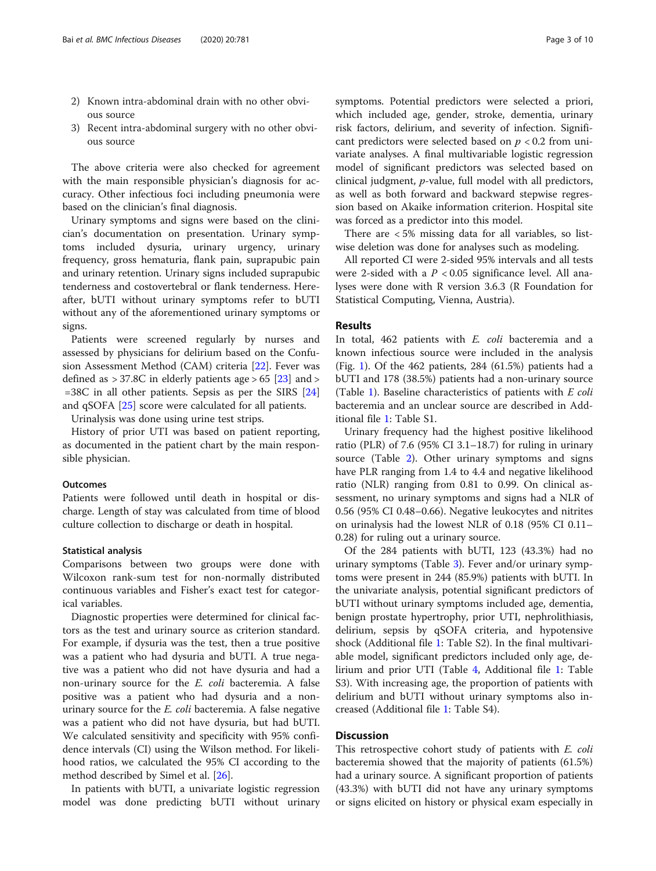- 2) Known intra-abdominal drain with no other obvious source
- 3) Recent intra-abdominal surgery with no other obvious source

The above criteria were also checked for agreement with the main responsible physician's diagnosis for accuracy. Other infectious foci including pneumonia were based on the clinician's final diagnosis.

Urinary symptoms and signs were based on the clinician's documentation on presentation. Urinary symptoms included dysuria, urinary urgency, urinary frequency, gross hematuria, flank pain, suprapubic pain and urinary retention. Urinary signs included suprapubic tenderness and costovertebral or flank tenderness. Hereafter, bUTI without urinary symptoms refer to bUTI without any of the aforementioned urinary symptoms or signs.

Patients were screened regularly by nurses and assessed by physicians for delirium based on the Confusion Assessment Method (CAM) criteria [[22](#page-8-0)]. Fever was defined as  $> 37.8C$  in elderly patients age  $> 65$  [[23\]](#page-8-0) and  $>$  $=38C$  in all other patients. Sepsis as per the SIRS  $[24]$  $[24]$  $[24]$ and qSOFA [[25\]](#page-8-0) score were calculated for all patients.

Urinalysis was done using urine test strips.

History of prior UTI was based on patient reporting, as documented in the patient chart by the main responsible physician.

#### **Outcomes**

Patients were followed until death in hospital or discharge. Length of stay was calculated from time of blood culture collection to discharge or death in hospital.

#### Statistical analysis

Comparisons between two groups were done with Wilcoxon rank-sum test for non-normally distributed continuous variables and Fisher's exact test for categorical variables.

Diagnostic properties were determined for clinical factors as the test and urinary source as criterion standard. For example, if dysuria was the test, then a true positive was a patient who had dysuria and bUTI. A true negative was a patient who did not have dysuria and had a non-urinary source for the E. coli bacteremia. A false positive was a patient who had dysuria and a nonurinary source for the *E. coli* bacteremia. A false negative was a patient who did not have dysuria, but had bUTI. We calculated sensitivity and specificity with 95% confidence intervals (CI) using the Wilson method. For likelihood ratios, we calculated the 95% CI according to the method described by Simel et al. [[26](#page-8-0)].

In patients with bUTI, a univariate logistic regression model was done predicting bUTI without urinary symptoms. Potential predictors were selected a priori, which included age, gender, stroke, dementia, urinary risk factors, delirium, and severity of infection. Significant predictors were selected based on  $p < 0.2$  from univariate analyses. A final multivariable logistic regression model of significant predictors was selected based on clinical judgment, p-value, full model with all predictors, as well as both forward and backward stepwise regression based on Akaike information criterion. Hospital site was forced as a predictor into this model.

There are < 5% missing data for all variables, so listwise deletion was done for analyses such as modeling.

All reported CI were 2-sided 95% intervals and all tests were 2-sided with a  $P < 0.05$  significance level. All analyses were done with R version 3.6.3 (R Foundation for Statistical Computing, Vienna, Austria).

#### Results

In total, 462 patients with *E. coli* bacteremia and a known infectious source were included in the analysis (Fig. [1](#page-3-0)). Of the  $462$  patients,  $284$  (61.5%) patients had a bUTI and 178 (38.5%) patients had a non-urinary source (Table [1](#page-4-0)). Baseline characteristics of patients with  $E$  coli bacteremia and an unclear source are described in Additional file [1:](#page-7-0) Table S1.

Urinary frequency had the highest positive likelihood ratio (PLR) of 7.6 (95% CI 3.1–18.7) for ruling in urinary source (Table [2\)](#page-5-0). Other urinary symptoms and signs have PLR ranging from 1.4 to 4.4 and negative likelihood ratio (NLR) ranging from 0.81 to 0.99. On clinical assessment, no urinary symptoms and signs had a NLR of 0.56 (95% CI 0.48–0.66). Negative leukocytes and nitrites on urinalysis had the lowest NLR of 0.18 (95% CI 0.11– 0.28) for ruling out a urinary source.

Of the 284 patients with bUTI, 123 (43.3%) had no urinary symptoms (Table [3\)](#page-6-0). Fever and/or urinary symptoms were present in 244 (85.9%) patients with bUTI. In the univariate analysis, potential significant predictors of bUTI without urinary symptoms included age, dementia, benign prostate hypertrophy, prior UTI, nephrolithiasis, delirium, sepsis by qSOFA criteria, and hypotensive shock (Additional file [1:](#page-7-0) Table S2). In the final multivariable model, significant predictors included only age, delirium and prior UTI (Table [4,](#page-7-0) Additional file [1](#page-7-0): Table S3). With increasing age, the proportion of patients with delirium and bUTI without urinary symptoms also increased (Additional file [1](#page-7-0): Table S4).

#### Discussion

This retrospective cohort study of patients with E. coli bacteremia showed that the majority of patients (61.5%) had a urinary source. A significant proportion of patients (43.3%) with bUTI did not have any urinary symptoms or signs elicited on history or physical exam especially in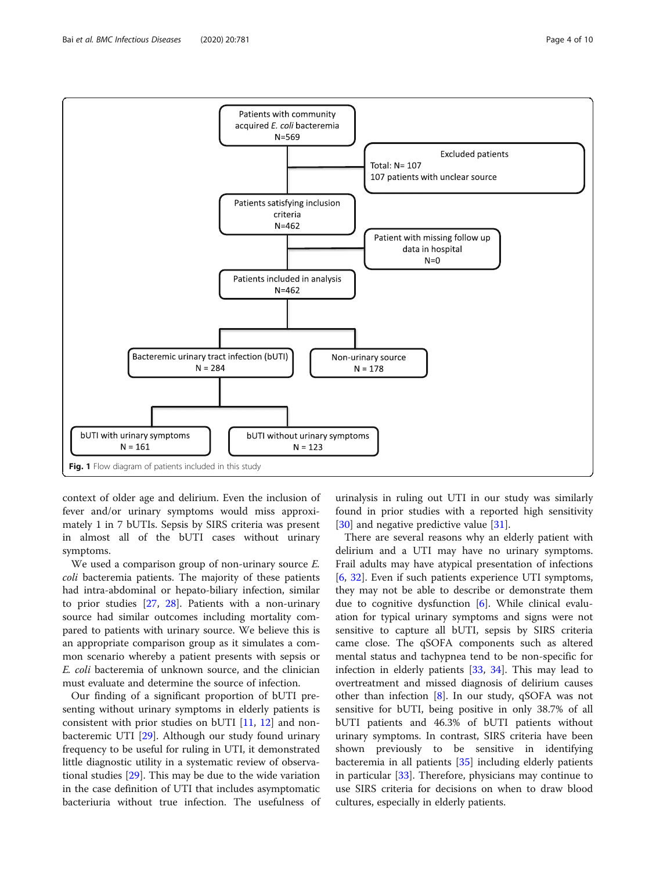

<span id="page-3-0"></span>

context of older age and delirium. Even the inclusion of fever and/or urinary symptoms would miss approximately 1 in 7 bUTIs. Sepsis by SIRS criteria was present in almost all of the bUTI cases without urinary symptoms.

We used a comparison group of non-urinary source *E*. coli bacteremia patients. The majority of these patients had intra-abdominal or hepato-biliary infection, similar to prior studies [[27,](#page-8-0) [28\]](#page-8-0). Patients with a non-urinary source had similar outcomes including mortality compared to patients with urinary source. We believe this is an appropriate comparison group as it simulates a common scenario whereby a patient presents with sepsis or E. coli bacteremia of unknown source, and the clinician must evaluate and determine the source of infection.

Our finding of a significant proportion of bUTI presenting without urinary symptoms in elderly patients is consistent with prior studies on bUTI  $[11, 12]$  $[11, 12]$  $[11, 12]$  $[11, 12]$  and nonbacteremic UTI [[29\]](#page-8-0). Although our study found urinary frequency to be useful for ruling in UTI, it demonstrated little diagnostic utility in a systematic review of observational studies [[29\]](#page-8-0). This may be due to the wide variation in the case definition of UTI that includes asymptomatic bacteriuria without true infection. The usefulness of urinalysis in ruling out UTI in our study was similarly found in prior studies with a reported high sensitivity [[30\]](#page-8-0) and negative predictive value [[31](#page-8-0)].

There are several reasons why an elderly patient with delirium and a UTI may have no urinary symptoms. Frail adults may have atypical presentation of infections [[6,](#page-8-0) [32](#page-9-0)]. Even if such patients experience UTI symptoms, they may not be able to describe or demonstrate them due to cognitive dysfunction [\[6](#page-8-0)]. While clinical evaluation for typical urinary symptoms and signs were not sensitive to capture all bUTI, sepsis by SIRS criteria came close. The qSOFA components such as altered mental status and tachypnea tend to be non-specific for infection in elderly patients [\[33,](#page-9-0) [34](#page-9-0)]. This may lead to overtreatment and missed diagnosis of delirium causes other than infection [[8\]](#page-8-0). In our study, qSOFA was not sensitive for bUTI, being positive in only 38.7% of all bUTI patients and 46.3% of bUTI patients without urinary symptoms. In contrast, SIRS criteria have been shown previously to be sensitive in identifying bacteremia in all patients [\[35\]](#page-9-0) including elderly patients in particular [[33\]](#page-9-0). Therefore, physicians may continue to use SIRS criteria for decisions on when to draw blood cultures, especially in elderly patients.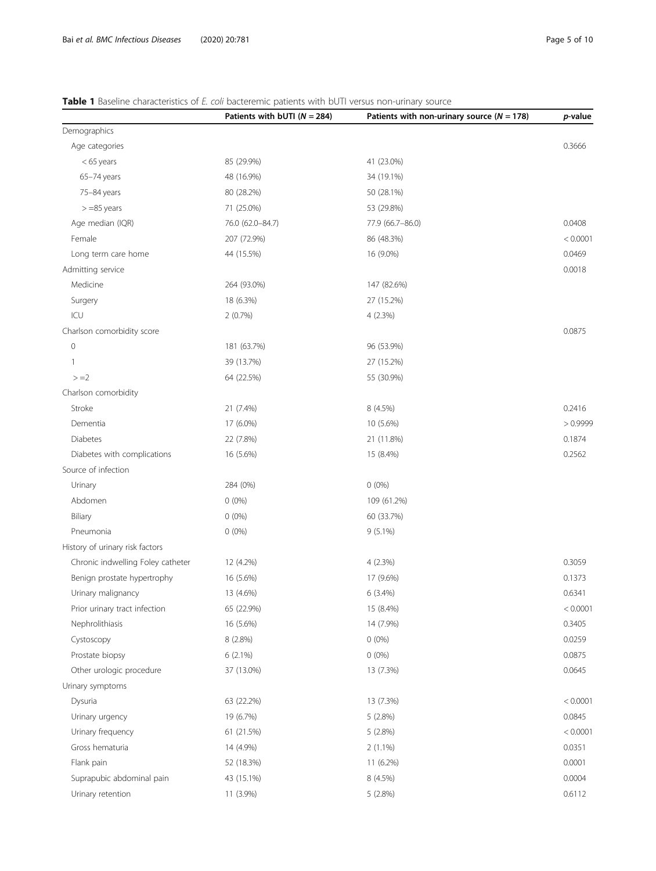#### <span id="page-4-0"></span>Table 1 Baseline characteristics of E. coli bacteremic patients with bUTI versus non-urinary source

|                                   | Patients with bUTI ( $N = 284$ ) | Patients with non-urinary source ( $N = 178$ ) | p-value  |
|-----------------------------------|----------------------------------|------------------------------------------------|----------|
| Demographics                      |                                  |                                                |          |
| Age categories                    |                                  |                                                | 0.3666   |
| $<$ 65 years                      | 85 (29.9%)                       | 41 (23.0%)                                     |          |
| $65 - 74$ years                   | 48 (16.9%)                       | 34 (19.1%)                                     |          |
| 75-84 years                       | 80 (28.2%)                       | 50 (28.1%)                                     |          |
| $> = 85$ years                    | 71 (25.0%)                       | 53 (29.8%)                                     |          |
| Age median (IQR)                  | 76.0 (62.0-84.7)                 | 77.9 (66.7-86.0)                               | 0.0408   |
| Female                            | 207 (72.9%)                      | 86 (48.3%)                                     | < 0.0001 |
| Long term care home               | 44 (15.5%)                       | 16 (9.0%)                                      | 0.0469   |
| Admitting service                 |                                  |                                                | 0.0018   |
| Medicine                          | 264 (93.0%)                      | 147 (82.6%)                                    |          |
| Surgery                           | 18 (6.3%)                        | 27 (15.2%)                                     |          |
| ICU                               | 2(0.7%)                          | 4(2.3%)                                        |          |
| Charlson comorbidity score        |                                  |                                                | 0.0875   |
| $\circ$                           | 181 (63.7%)                      | 96 (53.9%)                                     |          |
| $\overline{1}$                    | 39 (13.7%)                       | 27 (15.2%)                                     |          |
| $> = 2$                           | 64 (22.5%)                       | 55 (30.9%)                                     |          |
| Charlson comorbidity              |                                  |                                                |          |
| Stroke                            | 21 (7.4%)                        | 8 (4.5%)                                       | 0.2416   |
| Dementia                          | 17 (6.0%)                        | 10 (5.6%)                                      | > 0.9999 |
| Diabetes                          | 22 (7.8%)                        | 21 (11.8%)                                     | 0.1874   |
| Diabetes with complications       | 16 (5.6%)                        | 15 (8.4%)                                      | 0.2562   |
| Source of infection               |                                  |                                                |          |
| Urinary                           | 284 (0%)                         | $0(0\%)$                                       |          |
| Abdomen                           | $0(0\%)$                         | 109 (61.2%)                                    |          |
| Biliary                           | $0(0\%)$                         | 60 (33.7%)                                     |          |
| Pneumonia                         | $0(0\%)$                         | $9(5.1\%)$                                     |          |
| History of urinary risk factors   |                                  |                                                |          |
| Chronic indwelling Foley catheter | 12 (4.2%)                        | 4(2.3%)                                        | 0.3059   |
| Benign prostate hypertrophy       | 16 (5.6%)                        | 17 (9.6%)                                      | 0.1373   |
| Urinary malignancy                | 13 (4.6%)                        | 6 (3.4%)                                       | 0.6341   |
| Prior urinary tract infection     | 65 (22.9%)                       | 15 (8.4%)                                      | < 0.0001 |
| Nephrolithiasis                   | 16 (5.6%)                        | 14 (7.9%)                                      | 0.3405   |
| Cystoscopy                        | 8 (2.8%)                         | $0(0\%)$                                       | 0.0259   |
| Prostate biopsy                   | 6 (2.1%)                         | $0(0\%)$                                       | 0.0875   |
| Other urologic procedure          | 37 (13.0%)                       | 13 (7.3%)                                      | 0.0645   |
| Urinary symptoms                  |                                  |                                                |          |
| Dysuria                           | 63 (22.2%)                       | 13 (7.3%)                                      | < 0.0001 |
| Urinary urgency                   | 19 (6.7%)                        | 5(2.8%)                                        | 0.0845   |
| Urinary frequency                 | 61 (21.5%)                       | 5(2.8%)                                        | < 0.0001 |
| Gross hematuria                   | 14 (4.9%)                        | $2(1.1\%)$                                     | 0.0351   |
| Flank pain                        | 52 (18.3%)                       | 11 (6.2%)                                      | 0.0001   |
| Suprapubic abdominal pain         | 43 (15.1%)                       | 8 (4.5%)                                       | 0.0004   |
| Urinary retention                 | 11 (3.9%)                        | 5 (2.8%)                                       | 0.6112   |
|                                   |                                  |                                                |          |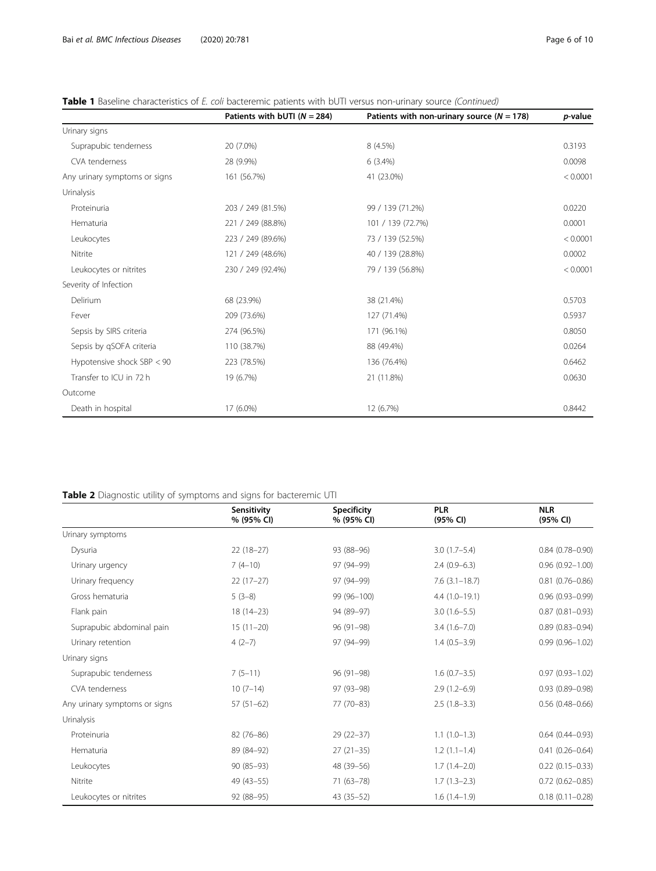#### <span id="page-5-0"></span>Table 1 Baseline characteristics of E. coli bacteremic patients with bUTI versus non-urinary source (Continued)

|                               | Patients with bUTI ( $N = 284$ ) | Patients with non-urinary source ( $N = 178$ ) | <i>p</i> -value |
|-------------------------------|----------------------------------|------------------------------------------------|-----------------|
| Urinary signs                 |                                  |                                                |                 |
| Suprapubic tenderness         | 20 (7.0%)                        | 8 (4.5%)                                       | 0.3193          |
| CVA tenderness                | 28 (9.9%)                        | $6(3.4\%)$                                     | 0.0098          |
| Any urinary symptoms or signs | 161 (56.7%)                      | 41 (23.0%)                                     | < 0.0001        |
| Urinalysis                    |                                  |                                                |                 |
| Proteinuria                   | 203 / 249 (81.5%)                | 99 / 139 (71.2%)                               | 0.0220          |
| Hematuria                     | 221 / 249 (88.8%)                | 101 / 139 (72.7%)                              | 0.0001          |
| Leukocytes                    | 223 / 249 (89.6%)                | 73 / 139 (52.5%)                               | < 0.0001        |
| Nitrite                       | 121 / 249 (48.6%)                | 40 / 139 (28.8%)                               | 0.0002          |
| Leukocytes or nitrites        | 230 / 249 (92.4%)                | 79 / 139 (56.8%)                               | < 0.0001        |
| Severity of Infection         |                                  |                                                |                 |
| Delirium                      | 68 (23.9%)                       | 38 (21.4%)                                     | 0.5703          |
| Fever                         | 209 (73.6%)                      | 127 (71.4%)                                    | 0.5937          |
| Sepsis by SIRS criteria       | 274 (96.5%)                      | 171 (96.1%)                                    | 0.8050          |
| Sepsis by qSOFA criteria      | 110 (38.7%)                      | 88 (49.4%)                                     | 0.0264          |
| Hypotensive shock SBP < 90    | 223 (78.5%)                      | 136 (76.4%)                                    | 0.6462          |
| Transfer to ICU in 72 h       | 19 (6.7%)                        | 21 (11.8%)                                     | 0.0630          |
| Outcome                       |                                  |                                                |                 |
| Death in hospital             | 17 (6.0%)                        | 12 (6.7%)                                      | 0.8442          |

#### Table 2 Diagnostic utility of symptoms and signs for bacteremic UTI

|                               | Sensitivity<br>% (95% CI) | <b>Specificity</b><br>% (95% CI) | <b>PLR</b><br>(95% CI) | <b>NLR</b><br>(95% CI) |
|-------------------------------|---------------------------|----------------------------------|------------------------|------------------------|
| Urinary symptoms              |                           |                                  |                        |                        |
| Dysuria                       | $22(18-27)$               | 93 (88-96)                       | $3.0(1.7-5.4)$         | $0.84(0.78 - 0.90)$    |
| Urinary urgency               | $7(4-10)$                 | 97 (94-99)                       | $2.4(0.9-6.3)$         | $0.96(0.92 - 1.00)$    |
| Urinary frequency             | $22(17-27)$               | 97 (94-99)                       | $7.6$ $(3.1-18.7)$     | $0.81(0.76 - 0.86)$    |
| Gross hematuria               | $5(3-8)$                  | 99 (96-100)                      | $4.4(1.0-19.1)$        | $0.96(0.93 - 0.99)$    |
| Flank pain                    | $18(14-23)$               | 94 (89-97)                       | $3.0(1.6 - 5.5)$       | $0.87(0.81 - 0.93)$    |
| Suprapubic abdominal pain     | $15(11-20)$               | 96 (91-98)                       | $3.4(1.6 - 7.0)$       | $0.89(0.83 - 0.94)$    |
| Urinary retention             | $4(2-7)$                  | 97 (94-99)                       | $1.4(0.5-3.9)$         | $0.99(0.96 - 1.02)$    |
| Urinary signs                 |                           |                                  |                        |                        |
| Suprapubic tenderness         | $7(5-11)$                 | $96(91-98)$                      | $1.6(0.7-3.5)$         | $0.97(0.93 - 1.02)$    |
| CVA tenderness                | $10(7-14)$                | 97 (93-98)                       | $2.9(1.2-6.9)$         | $0.93(0.89 - 0.98)$    |
| Any urinary symptoms or signs | $57(51-62)$               | 77 (70-83)                       | $2.5(1.8-3.3)$         | $0.56$ $(0.48 - 0.66)$ |
| Urinalysis                    |                           |                                  |                        |                        |
| Proteinuria                   | $82(76 - 86)$             | $29(22-37)$                      | $1.1(1.0-1.3)$         | $0.64(0.44 - 0.93)$    |
| Hematuria                     | 89 (84-92)                | $27(21-35)$                      | $1.2(1.1-1.4)$         | $0.41(0.26 - 0.64)$    |
| Leukocytes                    | $90(85-93)$               | 48 (39-56)                       | $1.7(1.4-2.0)$         | $0.22(0.15 - 0.33)$    |
| Nitrite                       | $49(43 - 55)$             | $71(63 - 78)$                    | $1.7(1.3-2.3)$         | $0.72$ (0.62-0.85)     |
| Leukocytes or nitrites        | 92 (88-95)                | $43(35-52)$                      | $1.6(1.4-1.9)$         | $0.18(0.11 - 0.28)$    |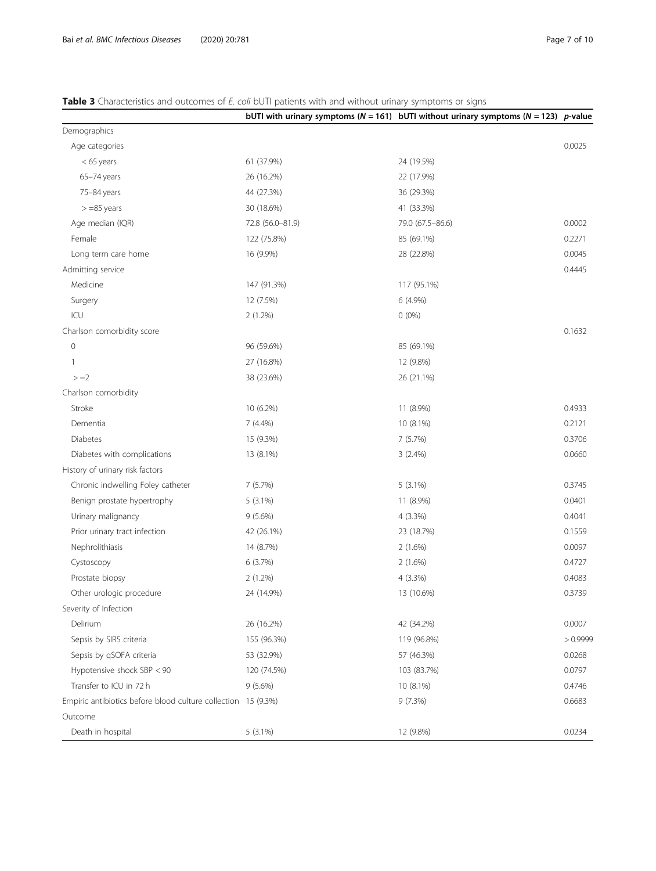#### <span id="page-6-0"></span>Table 3 Characteristics and outcomes of E. coli bUTI patients with and without urinary symptoms or signs

|                                                               |                  | bUTI with urinary symptoms ( $N = 161$ ) bUTI without urinary symptoms ( $N = 123$ ) p-value |         |
|---------------------------------------------------------------|------------------|----------------------------------------------------------------------------------------------|---------|
| Demographics                                                  |                  |                                                                                              |         |
| Age categories                                                |                  |                                                                                              | 0.0025  |
| $<$ 65 years                                                  | 61 (37.9%)       | 24 (19.5%)                                                                                   |         |
| 65-74 years                                                   | 26 (16.2%)       | 22 (17.9%)                                                                                   |         |
| 75-84 years                                                   | 44 (27.3%)       | 36 (29.3%)                                                                                   |         |
| $> = 85$ years                                                | 30 (18.6%)       | 41 (33.3%)                                                                                   |         |
| Age median (IQR)                                              | 72.8 (56.0-81.9) | 79.0 (67.5-86.6)                                                                             | 0.0002  |
| Female                                                        | 122 (75.8%)      | 85 (69.1%)                                                                                   | 0.2271  |
| Long term care home                                           | 16 (9.9%)        | 28 (22.8%)                                                                                   | 0.0045  |
| Admitting service                                             |                  |                                                                                              | 0.4445  |
| Medicine                                                      | 147 (91.3%)      | 117 (95.1%)                                                                                  |         |
| Surgery                                                       | 12 (7.5%)        | 6 (4.9%)                                                                                     |         |
| ICU                                                           | 2(1.2%)          | $0(0\%)$                                                                                     |         |
| Charlson comorbidity score                                    |                  |                                                                                              | 0.1632  |
| $\mathsf{O}\xspace$                                           | 96 (59.6%)       | 85 (69.1%)                                                                                   |         |
| 1                                                             | 27 (16.8%)       | 12 (9.8%)                                                                                    |         |
| $> = 2$                                                       | 38 (23.6%)       | 26 (21.1%)                                                                                   |         |
| Charlson comorbidity                                          |                  |                                                                                              |         |
| Stroke                                                        | 10 (6.2%)        | 11 (8.9%)                                                                                    | 0.4933  |
| Dementia                                                      | $7(4.4\%)$       | 10 (8.1%)                                                                                    | 0.2121  |
| Diabetes                                                      | 15 (9.3%)        | 7(5.7%)                                                                                      | 0.3706  |
| Diabetes with complications                                   | 13 (8.1%)        | 3(2.4%)                                                                                      | 0.0660  |
| History of urinary risk factors                               |                  |                                                                                              |         |
| Chronic indwelling Foley catheter                             | 7(5.7%)          | $5(3.1\%)$                                                                                   | 0.3745  |
| Benign prostate hypertrophy                                   | $5(3.1\%)$       | 11 (8.9%)                                                                                    | 0.0401  |
| Urinary malignancy                                            | $9(5.6\%)$       | $4(3.3\%)$                                                                                   | 0.4041  |
| Prior urinary tract infection                                 | 42 (26.1%)       | 23 (18.7%)                                                                                   | 0.1559  |
| Nephrolithiasis                                               | 14 (8.7%)        | 2(1.6%)                                                                                      | 0.0097  |
| Cystoscopy                                                    | 6 (3.7%)         | 2(1.6%)                                                                                      | 0.4727  |
| Prostate biopsy                                               | 2(1.2%)          | $4(3.3\%)$                                                                                   | 0.4083  |
| Other urologic procedure                                      | 24 (14.9%)       | 13 (10.6%)                                                                                   | 0.3739  |
| Severity of Infection                                         |                  |                                                                                              |         |
| Delirium                                                      | 26 (16.2%)       | 42 (34.2%)                                                                                   | 0.0007  |
| Sepsis by SIRS criteria                                       | 155 (96.3%)      | 119 (96.8%)                                                                                  | >0.9999 |
| Sepsis by qSOFA criteria                                      | 53 (32.9%)       | 57 (46.3%)                                                                                   | 0.0268  |
| Hypotensive shock SBP < 90                                    | 120 (74.5%)      | 103 (83.7%)                                                                                  | 0.0797  |
| Transfer to ICU in 72 h                                       | 9(5.6%)          | 10 (8.1%)                                                                                    | 0.4746  |
| Empiric antibiotics before blood culture collection 15 (9.3%) |                  | 9(7.3%)                                                                                      | 0.6683  |
| Outcome                                                       |                  |                                                                                              |         |
| Death in hospital                                             | $5(3.1\%)$       | 12 (9.8%)                                                                                    | 0.0234  |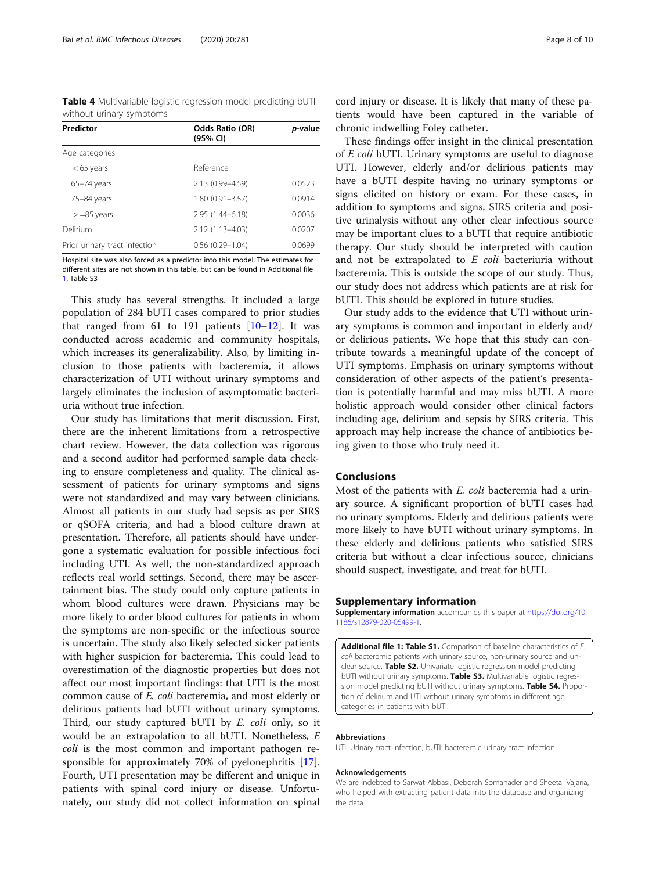<span id="page-7-0"></span>Table 4 Multivariable logistic regression model predicting bUTI without urinary symptoms

| Predictor                     | Odds Ratio (OR)<br>(95% CI) | p-value |
|-------------------------------|-----------------------------|---------|
| Age categories                |                             |         |
| $<$ 65 years                  | Reference                   |         |
| $65 - 74$ years               | 2.13 (0.99-4.59)            | 0.0523  |
| 75-84 years                   | $1.80(0.91 - 3.57)$         | 0.0914  |
| $> = 85$ years                | 2.95 (1.44-6.18)            | 0.0036  |
| Delirium                      | 2.12 (1.13-4.03)            | 0.0207  |
| Prior urinary tract infection | $0.56(0.29 - 1.04)$         | 0.0699  |
|                               |                             |         |

Hospital site was also forced as a predictor into this model. The estimates for different sites are not shown in this table, but can be found in Additional file 1: Table S3

This study has several strengths. It included a large population of 284 bUTI cases compared to prior studies that ranged from 61 to 191 patients  $[10-12]$  $[10-12]$  $[10-12]$ . It was conducted across academic and community hospitals, which increases its generalizability. Also, by limiting inclusion to those patients with bacteremia, it allows characterization of UTI without urinary symptoms and largely eliminates the inclusion of asymptomatic bacteriuria without true infection.

Our study has limitations that merit discussion. First, there are the inherent limitations from a retrospective chart review. However, the data collection was rigorous and a second auditor had performed sample data checking to ensure completeness and quality. The clinical assessment of patients for urinary symptoms and signs were not standardized and may vary between clinicians. Almost all patients in our study had sepsis as per SIRS or qSOFA criteria, and had a blood culture drawn at presentation. Therefore, all patients should have undergone a systematic evaluation for possible infectious foci including UTI. As well, the non-standardized approach reflects real world settings. Second, there may be ascertainment bias. The study could only capture patients in whom blood cultures were drawn. Physicians may be more likely to order blood cultures for patients in whom the symptoms are non-specific or the infectious source is uncertain. The study also likely selected sicker patients with higher suspicion for bacteremia. This could lead to overestimation of the diagnostic properties but does not affect our most important findings: that UTI is the most common cause of E. coli bacteremia, and most elderly or delirious patients had bUTI without urinary symptoms. Third, our study captured bUTI by E. coli only, so it would be an extrapolation to all bUTI. Nonetheless, E coli is the most common and important pathogen responsible for approximately 70% of pyelonephritis [\[17](#page-8-0)]. Fourth, UTI presentation may be different and unique in patients with spinal cord injury or disease. Unfortunately, our study did not collect information on spinal

cord injury or disease. It is likely that many of these patients would have been captured in the variable of chronic indwelling Foley catheter.

These findings offer insight in the clinical presentation of E coli bUTI. Urinary symptoms are useful to diagnose UTI. However, elderly and/or delirious patients may have a bUTI despite having no urinary symptoms or signs elicited on history or exam. For these cases, in addition to symptoms and signs, SIRS criteria and positive urinalysis without any other clear infectious source may be important clues to a bUTI that require antibiotic therapy. Our study should be interpreted with caution and not be extrapolated to E coli bacteriuria without bacteremia. This is outside the scope of our study. Thus, our study does not address which patients are at risk for bUTI. This should be explored in future studies.

Our study adds to the evidence that UTI without urinary symptoms is common and important in elderly and/ or delirious patients. We hope that this study can contribute towards a meaningful update of the concept of UTI symptoms. Emphasis on urinary symptoms without consideration of other aspects of the patient's presentation is potentially harmful and may miss bUTI. A more holistic approach would consider other clinical factors including age, delirium and sepsis by SIRS criteria. This approach may help increase the chance of antibiotics being given to those who truly need it.

#### Conclusions

Most of the patients with *E. coli* bacteremia had a urinary source. A significant proportion of bUTI cases had no urinary symptoms. Elderly and delirious patients were more likely to have bUTI without urinary symptoms. In these elderly and delirious patients who satisfied SIRS criteria but without a clear infectious source, clinicians should suspect, investigate, and treat for bUTI.

#### Supplementary information

Supplementary information accompanies this paper at [https://doi.org/10.](https://doi.org/10.1186/s12879-020-05499-1) [1186/s12879-020-05499-1](https://doi.org/10.1186/s12879-020-05499-1).

Additional file 1: Table S1. Comparison of baseline characteristics of E. coli bacteremic patients with urinary source, non-urinary source and unclear source. Table S2. Univariate logistic regression model predicting bUTI without urinary symptoms. Table S3. Multivariable logistic regression model predicting bUTI without urinary symptoms. Table S4. Proportion of delirium and UTI without urinary symptoms in different age categories in patients with bUTI.

#### Abbreviations

UTI: Urinary tract infection; bUTI: bacteremic urinary tract infection

#### Acknowledgements

We are indebted to Sarwat Abbasi, Deborah Somanader and Sheetal Vajaria, who helped with extracting patient data into the database and organizing the data.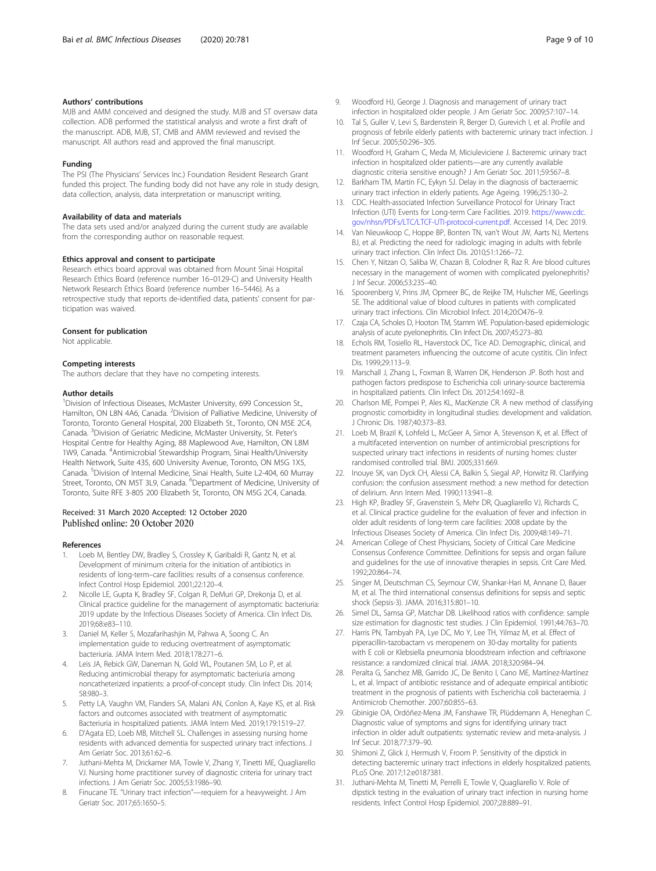#### <span id="page-8-0"></span>Authors' contributions

MJB and AMM conceived and designed the study. MJB and ST oversaw data collection. ADB performed the statistical analysis and wrote a first draft of the manuscript. ADB, MJB, ST, CMB and AMM reviewed and revised the manuscript. All authors read and approved the final manuscript.

#### Funding

The PSI (The Physicians' Services Inc.) Foundation Resident Research Grant funded this project. The funding body did not have any role in study design, data collection, analysis, data interpretation or manuscript writing.

#### Availability of data and materials

The data sets used and/or analyzed during the current study are available from the corresponding author on reasonable request.

#### Ethics approval and consent to participate

Research ethics board approval was obtained from Mount Sinai Hospital Research Ethics Board (reference number 16–0129-C) and University Health Network Research Ethics Board (reference number 16–5446). As a retrospective study that reports de-identified data, patients' consent for participation was waived.

#### Consent for publication

Not applicable.

#### Competing interests

The authors declare that they have no competing interests.

#### Author details

<sup>1</sup> Division of Infectious Diseases, McMaster University, 699 Concession St., Hamilton, ON L8N 4A6, Canada. <sup>2</sup> Division of Palliative Medicine, University of Toronto, Toronto General Hospital, 200 Elizabeth St., Toronto, ON M5E 2C4, Canada. <sup>3</sup>Division of Geriatric Medicine, McMaster University, St. Peter's Hospital Centre for Healthy Aging, 88 Maplewood Ave, Hamilton, ON L8M 1W9, Canada. <sup>4</sup>Antimicrobial Stewardship Program, Sinai Health/University Health Network, Suite 435, 600 University Avenue, Toronto, ON M5G 1X5, Canada. <sup>5</sup>Division of Internal Medicine, Sinai Health, Suite L2-404, 60 Murray Street, Toronto, ON M5T 3L9, Canada. <sup>6</sup>Department of Medicine, University of Toronto, Suite RFE 3-805 200 Elizabeth St, Toronto, ON M5G 2C4, Canada.

#### Received: 31 March 2020 Accepted: 12 October 2020 Published online: 20 October 2020

#### References

- Loeb M, Bentley DW, Bradley S, Crossley K, Garibaldi R, Gantz N, et al. Development of minimum criteria for the initiation of antibiotics in residents of long-term–care facilities: results of a consensus conference. Infect Control Hosp Epidemiol. 2001;22:120–4.
- 2. Nicolle LE, Gupta K, Bradley SF, Colgan R, DeMuri GP, Drekonja D, et al. Clinical practice guideline for the management of asymptomatic bacteriuria: 2019 update by the Infectious Diseases Society of America. Clin Infect Dis. 2019;68:e83–110.
- 3. Daniel M, Keller S, Mozafarihashjin M, Pahwa A, Soong C. An implementation guide to reducing overtreatment of asymptomatic bacteriuria. JAMA Intern Med. 2018;178:271–6.
- 4. Leis JA, Rebick GW, Daneman N, Gold WL, Poutanen SM, Lo P, et al. Reducing antimicrobial therapy for asymptomatic bacteriuria among noncatheterized inpatients: a proof-of-concept study. Clin Infect Dis. 2014; 58:980–3.
- 5. Petty LA, Vaughn VM, Flanders SA, Malani AN, Conlon A, Kaye KS, et al. Risk factors and outcomes associated with treatment of asymptomatic Bacteriuria in hospitalized patients. JAMA Intern Med. 2019;179:1519–27.
- 6. D'Agata ED, Loeb MB, Mitchell SL. Challenges in assessing nursing home residents with advanced dementia for suspected urinary tract infections. J Am Geriatr Soc. 2013;61:62–6.
- Juthani-Mehta M, Drickamer MA, Towle V, Zhang Y, Tinetti ME, Quagliarello VJ. Nursing home practitioner survey of diagnostic criteria for urinary tract infections. J Am Geriatr Soc. 2005;53:1986–90.
- 8. Finucane TE. "Urinary tract infection"—requiem for a heavyweight. J Am Geriatr Soc. 2017;65:1650–5.
- 9. Woodford HJ, George J. Diagnosis and management of urinary tract infection in hospitalized older people. J Am Geriatr Soc. 2009;57:107–14.
- 10. Tal S, Guller V, Levi S, Bardenstein R, Berger D, Gurevich I, et al. Profile and prognosis of febrile elderly patients with bacteremic urinary tract infection. J Inf Secur. 2005;50:296–305.
- 11. Woodford H, Graham C, Meda M, Miciuleviciene J. Bacteremic urinary tract infection in hospitalized older patients—are any currently available diagnostic criteria sensitive enough? J Am Geriatr Soc. 2011;59:567–8.
- 12. Barkham TM, Martin FC, Eykyn SJ. Delay in the diagnosis of bacteraemic urinary tract infection in elderly patients. Age Ageing. 1996;25:130–2.
- 13. CDC. Health-associated Infection Surveillance Protocol for Urinary Tract Infection (UTI) Events for Long-term Care Facilities. 2019. [https://www.cdc.](https://www.cdc.gov/nhsn/PDFs/LTC/LTCF-UTI-protocol-current.pdf) [gov/nhsn/PDFs/LTC/LTCF-UTI-protocol-current.pdf](https://www.cdc.gov/nhsn/PDFs/LTC/LTCF-UTI-protocol-current.pdf). Accessed 14, Dec 2019.
- 14. Van Nieuwkoop C, Hoppe BP, Bonten TN, van't Wout JW, Aarts NJ, Mertens BJ, et al. Predicting the need for radiologic imaging in adults with febrile urinary tract infection. Clin Infect Dis. 2010;51:1266–72.
- 15. Chen Y, Nitzan O, Saliba W, Chazan B, Colodner R, Raz R. Are blood cultures necessary in the management of women with complicated pyelonephritis? J Inf Secur. 2006;53:235–40.
- 16. Spoorenberg V, Prins JM, Opmeer BC, de Reijke TM, Hulscher ME, Geerlings SE. The additional value of blood cultures in patients with complicated urinary tract infections. Clin Microbiol Infect. 2014;20:O476–9.
- 17. Czaja CA, Scholes D, Hooton TM, Stamm WE. Population-based epidemiologic analysis of acute pyelonephritis. Clin Infect Dis. 2007;45:273–80.
- 18. Echols RM, Tosiello RL, Haverstock DC, Tice AD. Demographic, clinical, and treatment parameters influencing the outcome of acute cystitis. Clin Infect Dis. 1999;29:113–9.
- 19. Marschall J, Zhang L, Foxman B, Warren DK, Henderson JP. Both host and pathogen factors predispose to Escherichia coli urinary-source bacteremia in hospitalized patients. Clin Infect Dis. 2012;54:1692–8.
- 20. Charlson ME, Pompei P, Ales KL, MacKenzie CR. A new method of classifying prognostic comorbidity in longitudinal studies: development and validation. J Chronic Dis. 1987;40:373–83.
- 21. Loeb M, Brazil K, Lohfeld L, McGeer A, Simor A, Stevenson K, et al. Effect of a multifaceted intervention on number of antimicrobial prescriptions for suspected urinary tract infections in residents of nursing homes: cluster randomised controlled trial. BMJ. 2005;331:669.
- 22. Inouye SK, van Dyck CH, Alessi CA, Balkin S, Siegal AP, Horwitz RI. Clarifying confusion: the confusion assessment method: a new method for detection of delirium. Ann Intern Med. 1990;113:941–8.
- 23. High KP, Bradley SF, Gravenstein S, Mehr DR, Quagliarello VJ, Richards C, et al. Clinical practice guideline for the evaluation of fever and infection in older adult residents of long-term care facilities: 2008 update by the Infectious Diseases Society of America. Clin Infect Dis. 2009;48:149–71.
- 24. American College of Chest Physicians, Society of Critical Care Medicine Consensus Conference Committee. Definitions for sepsis and organ failure and guidelines for the use of innovative therapies in sepsis. Crit Care Med. 1992;20:864–74.
- 25. Singer M, Deutschman CS, Seymour CW, Shankar-Hari M, Annane D, Bauer M, et al. The third international consensus definitions for sepsis and septic shock (Sepsis-3). JAMA. 2016;315:801–10.
- 26. Simel DL, Samsa GP, Matchar DB. Likelihood ratios with confidence: sample size estimation for diagnostic test studies. J Clin Epidemiol. 1991;44:763–70.
- 27. Harris PN, Tambyah PA, Lye DC, Mo Y, Lee TH, Yilmaz M, et al. Effect of piperacillin-tazobactam vs meropenem on 30-day mortality for patients with E coli or Klebsiella pneumonia bloodstream infection and ceftriaxone resistance: a randomized clinical trial. JAMA. 2018;320:984–94.
- 28. Peralta G, Sanchez MB, Garrido JC, De Benito I, Cano ME, Martínez-Martínez L, et al. Impact of antibiotic resistance and of adequate empirical antibiotic treatment in the prognosis of patients with Escherichia coli bacteraemia. J Antimicrob Chemother. 2007;60:855–63.
- 29. Gbinigie OA, Ordóñez-Mena JM, Fanshawe TR, Plüddemann A, Heneghan C. Diagnostic value of symptoms and signs for identifying urinary tract infection in older adult outpatients: systematic review and meta-analysis. J Inf Secur. 2018;77:379–90.
- 30. Shimoni Z, Glick J, Hermush V, Froom P. Sensitivity of the dipstick in detecting bacteremic urinary tract infections in elderly hospitalized patients. PLoS One. 2017;12:e0187381.
- 31. Juthani-Mehta M, Tinetti M, Perrelli E, Towle V, Quagliarello V. Role of dipstick testing in the evaluation of urinary tract infection in nursing home residents. Infect Control Hosp Epidemiol. 2007;28:889–91.